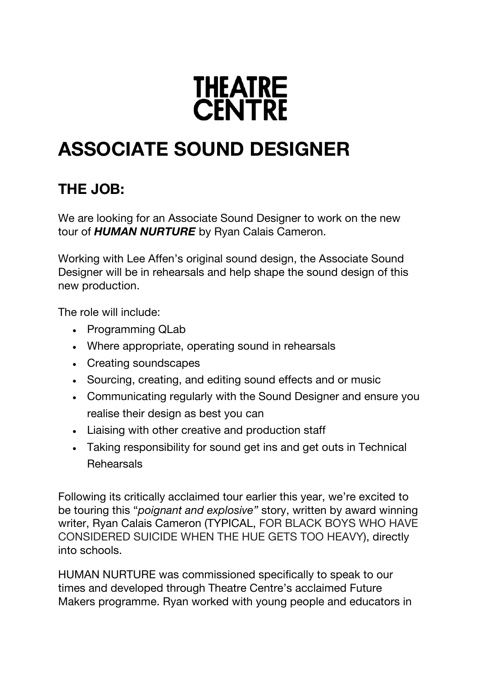

# **ASSOCIATE SOUND DESIGNER**

## **THE JOB:**

We are looking for an Associate Sound Designer to work on the new tour of *HUMAN NURTURE* by Ryan Calais Cameron.

Working with Lee Affen's original sound design, the Associate Sound Designer will be in rehearsals and help shape the sound design of this new production.

The role will include:

- Programming QLab
- Where appropriate, operating sound in rehearsals
- Creating soundscapes
- Sourcing, creating, and editing sound effects and or music
- Communicating regularly with the Sound Designer and ensure you realise their design as best you can
- Liaising with other creative and production staff
- Taking responsibility for sound get ins and get outs in Technical **Rehearsals**

Following its critically acclaimed tour earlier this year, we're excited to be touring this "*poignant and explosive"* story, written by award winning writer, Ryan Calais Cameron (TYPICAL, FOR BLACK BOYS WHO HAVE CONSIDERED SUICIDE WHEN THE HUE GETS TOO HEAVY), directly into schools.

HUMAN NURTURE was commissioned specifically to speak to our times and developed through Theatre Centre's acclaimed Future Makers programme. Ryan worked with young people and educators in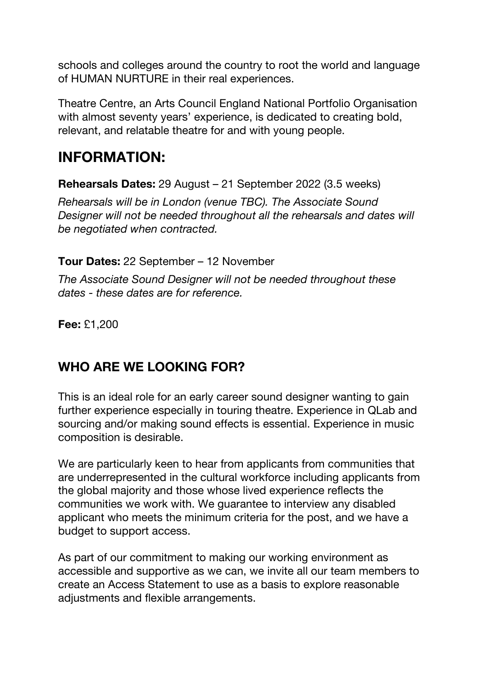schools and colleges around the country to root the world and language of HUMAN NURTURE in their real experiences.

Theatre Centre, an Arts Council England National Portfolio Organisation with almost seventy years' experience, is dedicated to creating bold, relevant, and relatable theatre for and with young people.

## **INFORMATION:**

**Rehearsals Dates:** 29 August – 21 September 2022 (3.5 weeks)

*Rehearsals will be in London (venue TBC). The Associate Sound Designer will not be needed throughout all the rehearsals and dates will be negotiated when contracted.*

**Tour Dates:** 22 September – 12 November

*The Associate Sound Designer will not be needed throughout these dates - these dates are for reference.*

**Fee:** £1,200

#### **WHO ARE WE LOOKING FOR?**

This is an ideal role for an early career sound designer wanting to gain further experience especially in touring theatre. Experience in QLab and sourcing and/or making sound effects is essential. Experience in music composition is desirable.

We are particularly keen to hear from applicants from communities that are underrepresented in the cultural workforce including applicants from the global majority and those whose lived experience reflects the communities we work with. We guarantee to interview any disabled applicant who meets the minimum criteria for the post, and we have a budget to support access.

As part of our commitment to making our working environment as accessible and supportive as we can, we invite all our team members to create an Access Statement to use as a basis to explore reasonable adjustments and flexible arrangements.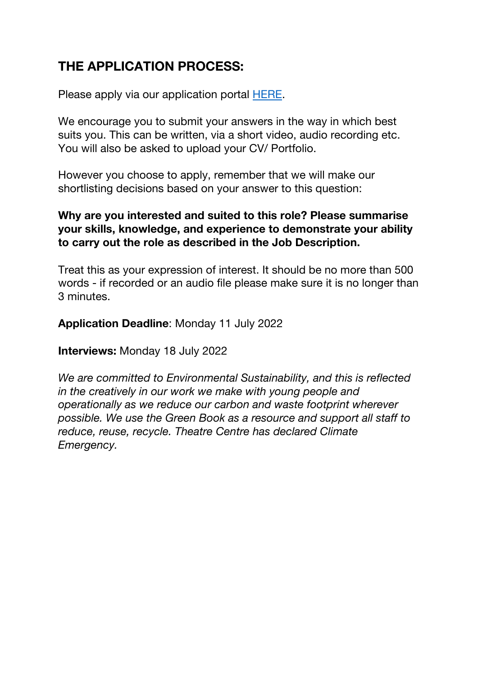## **THE APPLICATION PROCESS:**

Please apply via our application portal HERE.

We encourage you to submit your answers in the way in which best suits you. This can be written, via a short video, audio recording etc. You will also be asked to upload your CV/ Portfolio.

However you choose to apply, remember that we will make our shortlisting decisions based on your answer to this question:

#### **Why are you interested and suited to this role? Please summarise your skills, knowledge, and experience to demonstrate your ability to carry out the role as described in the Job Description.**

Treat this as your expression of interest. It should be no more than 500 words - if recorded or an audio file please make sure it is no longer than 3 minutes.

#### **Application Deadline**: Monday 11 July 2022

**Interviews:** Monday 18 July 2022

*We are committed to Environmental Sustainability, and this is reflected in the creatively in our work we make with young people and operationally as we reduce our carbon and waste footprint wherever possible. We use the Green Book as a resource and support all staff to reduce, reuse, recycle. Theatre Centre has declared Climate Emergency.*